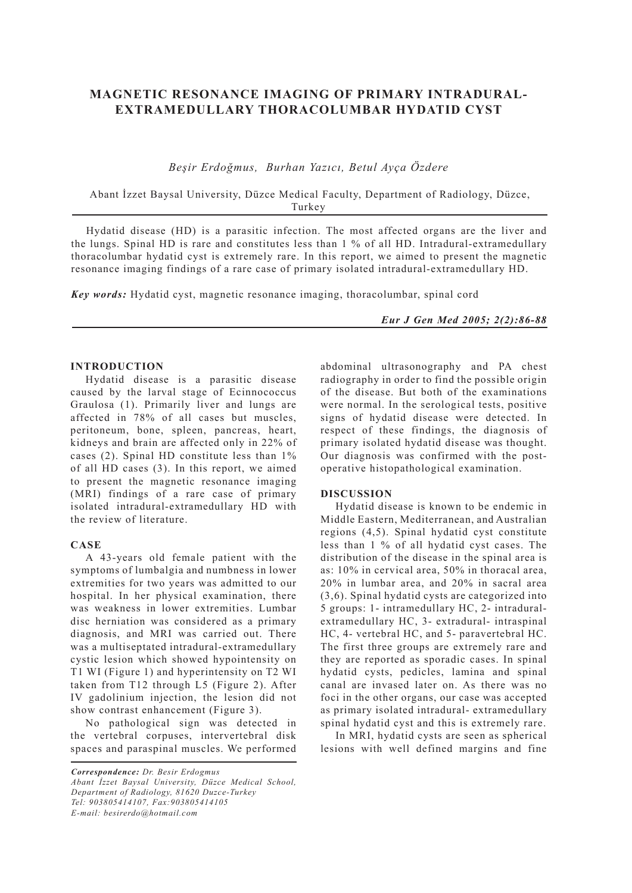# **MAGNETIC RESONANCE IMAGING OF PRIMARY INTRADURAL-EXTRAMEDULLARY THORACOLUMBAR HYDATID CYST**

*Beşir Erdoğmus, Burhan Yazıcı, Betul Ayça Özdere*

 Abant İzzet Baysal University, Düzce Medical Faculty, Department of Radiology, Düzce, Turkey

Hydatid disease (HD) is a parasitic infection. The most affected organs are the liver and the lungs. Spinal HD is rare and constitutes less than 1 % of all HD. Intradural-extramedullary thoracolumbar hydatid cyst is extremely rare. In this report, we aimed to present the magnetic resonance imaging findings of a rare case of primary isolated intradural-extramedullary HD.

*Key words:* Hydatid cyst, magnetic resonance imaging, thoracolumbar, spinal cord

*Eur J Gen Med 2005; 2(2):86-88*

# **INTRODUCTION**

Hydatid disease is a parasitic disease caused by the larval stage of Ecinnococcus Graulosa (1). Primarily liver and lungs are affected in 78% of all cases but muscles, peritoneum, bone, spleen, pancreas, heart, kidneys and brain are affected only in 22% of cases (2). Spinal HD constitute less than 1% of all HD cases (3). In this report, we aimed to present the magnetic resonance imaging (MRI) findings of a rare case of primary isolated intradural-extramedullary HD with the review of literature.

#### **CASE**

A 43-years old female patient with the symptoms of lumbalgia and numbness in lower extremities for two years was admitted to our hospital. In her physical examination, there was weakness in lower extremities. Lumbar disc herniation was considered as a primary diagnosis, and MRI was carried out. There was a multiseptated intradural-extramedullary cystic lesion which showed hypointensity on T1 WI (Figure 1) and hyperintensity on T2 WI taken from T12 through L5 (Figure 2). After IV gadolinium injection, the lesion did not show contrast enhancement (Figure 3).

No pathological sign was detected in the vertebral corpuses, intervertebral disk spaces and paraspinal muscles. We performed

*Correspondence: Dr. Besir Erdogmus Abant İzzet Baysal University, Düzce Medical School, Department of Radiology, 81620 Duzce-Turkey Tel: 903805414107, Fax:903805414105 E-mail: besirerdo@hotmail.com*

abdominal ultrasonography and PA chest radiography in order to find the possible origin of the disease. But both of the examinations were normal. In the serological tests, positive signs of hydatid disease were detected. In respect of these findings, the diagnosis of primary isolated hydatid disease was thought. Our diagnosis was confirmed with the postoperative histopathological examination.

### **DISCUSSION**

Hydatid disease is known to be endemic in Middle Eastern, Mediterranean, and Australian regions (4,5). Spinal hydatid cyst constitute less than 1 % of all hydatid cyst cases. The distribution of the disease in the spinal area is as: 10% in cervical area, 50% in thoracal area, 20% in lumbar area, and 20% in sacral area (3,6). Spinal hydatid cysts are categorized into 5 groups: 1- intramedullary HC, 2- intraduralextramedullary HC, 3- extradural- intraspinal HC, 4- vertebral HC, and 5- paravertebral HC. The first three groups are extremely rare and they are reported as sporadic cases. In spinal hydatid cysts, pedicles, lamina and spinal canal are invased later on. As there was no foci in the other organs, our case was accepted as primary isolated intradural- extramedullary spinal hydatid cyst and this is extremely rare.

In MRI, hydatid cysts are seen as spherical lesions with well defined margins and fine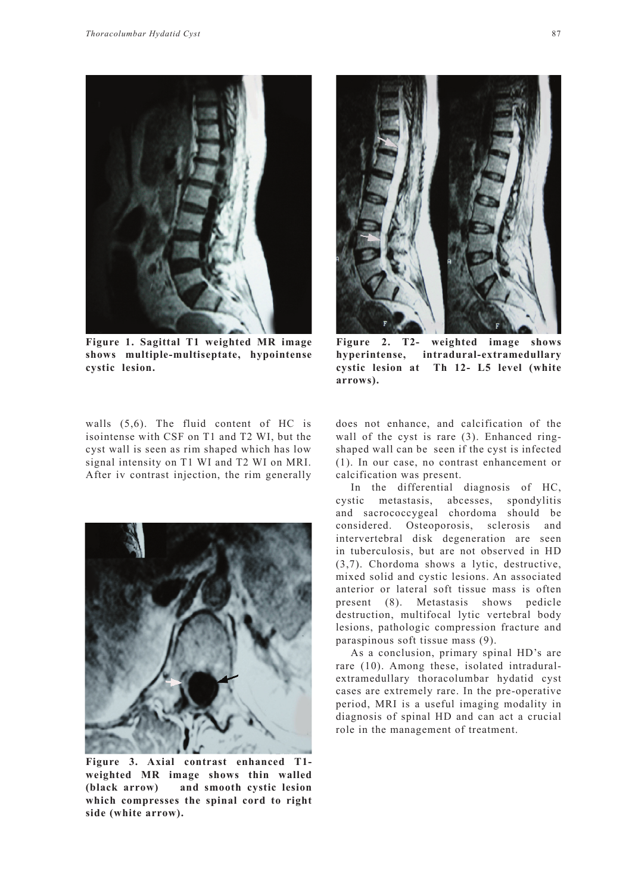

**Figure 1. Sagittal T1 weighted MR image shows multiple-multiseptate, hypointense cystic lesion.** 

walls (5,6). The fluid content of HC is isointense with CSF on T1 and T2 WI, but the cyst wall is seen as rim shaped which has low signal intensity on T1 WI and T2 WI on MRI. After iv contrast injection, the rim generally



**Figure 3. Axial contrast enhanced T1 weighted MR image shows thin walled (black arrow) and smooth cystic lesion which compresses the spinal cord to right side (white arrow).**



**Figure 2. T2- weighted image shows hyperintense, intradural-extramedullary cystic lesion at Th 12- L5 level (white arrows).** 

does not enhance, and calcification of the wall of the cyst is rare (3). Enhanced ringshaped wall can be seen if the cyst is infected (1). In our case, no contrast enhancement or calcification was present.

In the differential diagnosis of HC, cystic metastasis, abcesses, spondylitis and sacrococcygeal chordoma should be considered. Osteoporosis, sclerosis and intervertebral disk degeneration are seen in tuberculosis, but are not observed in HD (3,7). Chordoma shows a lytic, destructive, mixed solid and cystic lesions. An associated anterior or lateral soft tissue mass is often present (8). Metastasis shows pedicle destruction, multifocal lytic vertebral body lesions, pathologic compression fracture and paraspinous soft tissue mass (9).

As a conclusion, primary spinal HD's are rare (10). Among these, isolated intraduralextramedullary thoracolumbar hydatid cyst cases are extremely rare. In the pre-operative period, MRI is a useful imaging modality in diagnosis of spinal HD and can act a crucial role in the management of treatment.